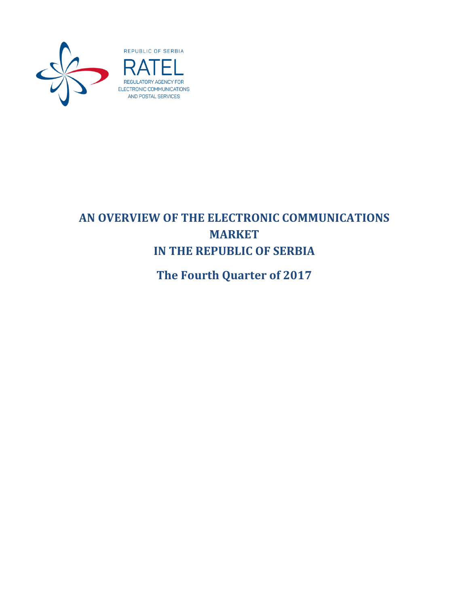



# **AN OVERVIEW OF THE ELECTRONIC COMMUNICATIONS MARKET IN THE REPUBLIC OF SERBIA**

<span id="page-0-0"></span>**The Fourth Quarter of 2017**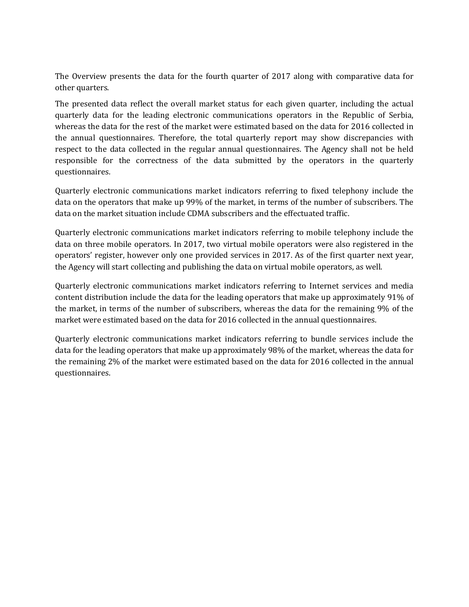The Overview presents the data for the fourth quarter of 2017 along with comparative data for other quarters.

The presented data reflect the overall market status for each given quarter, including the actual quarterly data for the leading electronic communications operators in the Republic of Serbia, whereas the data for the rest of the market were estimated based on the data for 2016 collected in the annual questionnaires. Therefore, the total quarterly report may show discrepancies with respect to the data collected in the regular annual questionnaires. The Agency shall not be held responsible for the correctness of the data submitted by the operators in the quarterly questionnaires.

Quarterly electronic communications market indicators referring to fixed telephony include the data on the operators that make up 99% of the market, in terms of the number of subscribers. The data on the market situation include CDMA subscribers and the effectuated traffic.

Quarterly electronic communications market indicators referring to mobile telephony include the data on three mobile operators. In 2017, two virtual mobile operators were also registered in the operators' register, however only one provided services in 2017. As of the first quarter next year, the Agency will start collecting and publishing the data on virtual mobile operators, as well.

Quarterly electronic communications market indicators referring to Internet services and media content distribution include the data for the leading operators that make up approximately 91% of the market, in terms of the number of subscribers, whereas the data for the remaining 9% of the market were estimated based on the data for 2016 collected in the annual questionnaires.

Quarterly electronic communications market indicators referring to bundle services include the data for the leading operators that make up approximately 98% of the market, whereas the data for the remaining 2% of the market were estimated based on the data for 2016 collected in the annual questionnaires.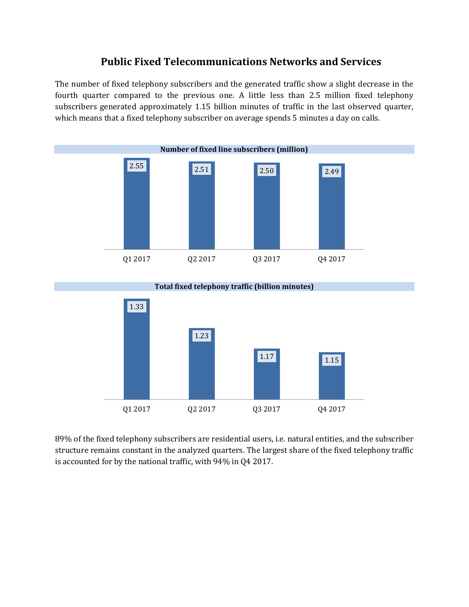## **Public Fixed Telecommunications Networks and Services**

The number of fixed telephony subscribers and the generated traffic show a slight decrease in the fourth quarter compared to the previous one. A little less than 2.5 million fixed telephony subscribers generated approximately 1.15 billion minutes of traffic in the last observed quarter, which means that a fixed telephony subscriber on average spends 5 minutes a day on calls.





89% of the fixed telephony subscribers are residential users, i.e. natural entities, and the subscriber structure remains constant in the analyzed quarters. The largest share of the fixed telephony traffic is accounted for by the national traffic, with 94% in Q4 2017.

**Total fixed telephony traffic (billion minutes)**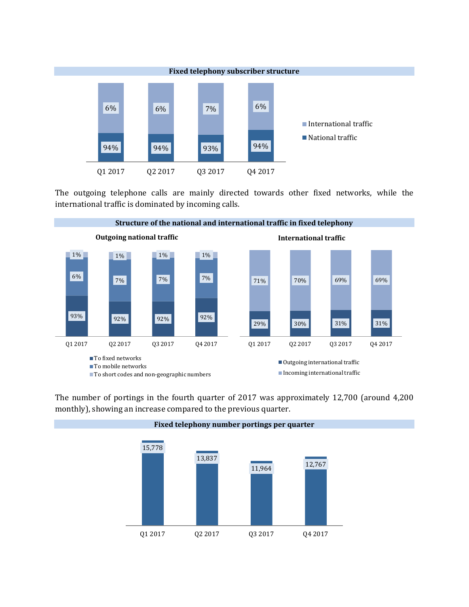

The outgoing telephone calls are mainly directed towards other fixed networks, while the international traffic is dominated by incoming calls.



The number of portings in the fourth quarter of 2017 was approximately 12,700 (around 4,200 monthly), showing an increase compared to the previous quarter.

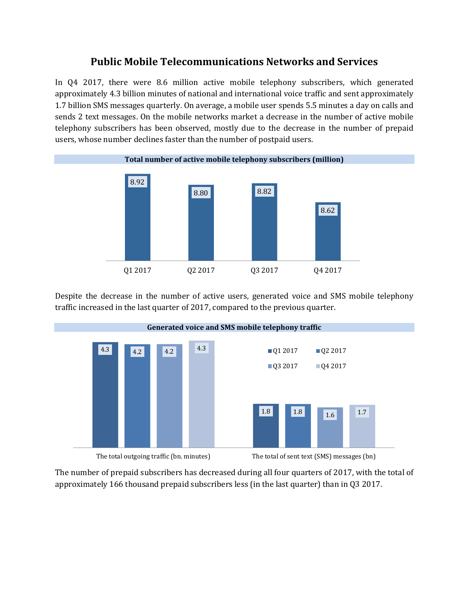## **Public Mobile Telecommunications Networks and Services**

In Q4 2017, there were 8.6 million active mobile telephony subscribers, which generated approximately 4.3 billion minutes of national and international voice traffic and sent approximately 1.7 billion SMS messages quarterly. On average, a mobile user spends 5.5 minutes a day on calls and sends 2 text messages. On the mobile networks market a decrease in the number of active mobile telephony subscribers has been observed, mostly due to the decrease in the number of prepaid users, whose number declines faster than the number of postpaid users.



Despite the decrease in the number of active users, generated voice and SMS mobile telephony traffic increased in the last quarter of 2017, compared to the previous quarter.



The number of prepaid subscribers has decreased during all four quarters of 2017, with the total of approximately 166 thousand prepaid subscribers less (in the last quarter) than in Q3 2017.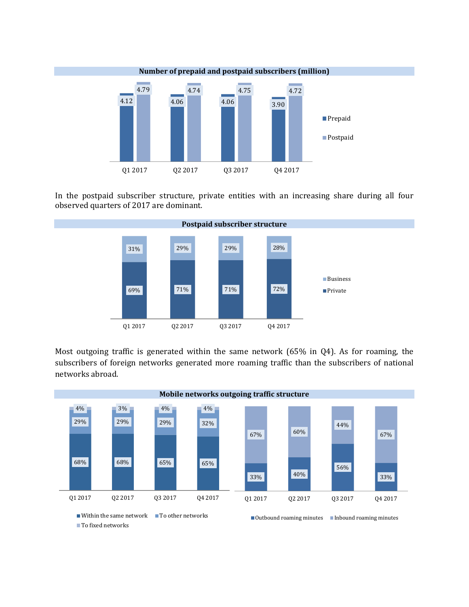

In the postpaid subscriber structure, private entities with an increasing share during all four observed quarters of 2017 are dominant.



Most outgoing traffic is generated within the same network (65% in Q4). As for roaming, the subscribers of foreign networks generated more roaming traffic than the subscribers of national networks abroad.

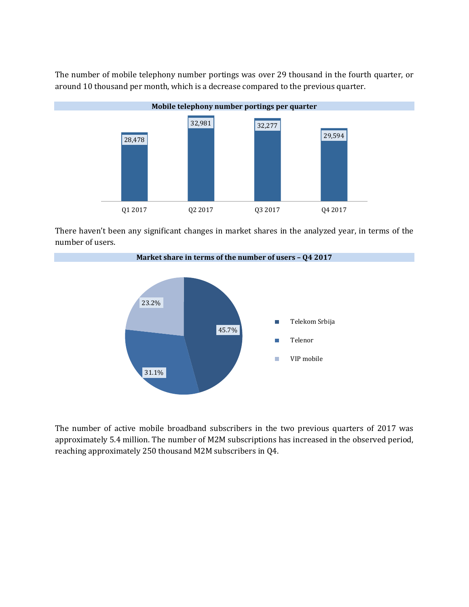The number of mobile telephony number portings was over 29 thousand in the fourth quarter, or around 10 thousand per month, which is a decrease compared to the previous quarter.



There haven't been any significant changes in market shares in the analyzed year, in terms of the number of users.



The number of active mobile broadband subscribers in the two previous quarters of 2017 was approximately 5.4 million. The number of M2M subscriptions has increased in the observed period, reaching approximately 250 thousand M2M subscribers in Q4.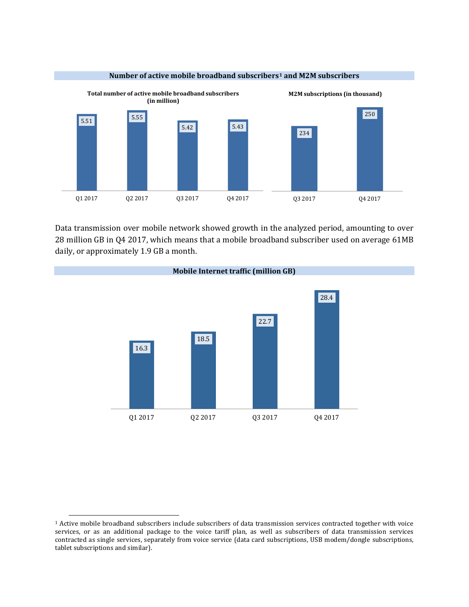

Data transmission over mobile network showed growth in the analyzed period, amounting to over 28 million GB in Q4 2017, which means that a mobile broadband subscriber used on average 61MB daily, or approximately 1.9 GB a month.



 $\overline{a}$ 

<sup>1</sup> Active mobile broadband subscribers include subscribers of data transmission services contracted together with voice services, or as an additional package to the voice tariff plan, as well as subscribers of data transmission services contracted as single services, separately from voice service (data card subscriptions, USB modem/dongle subscriptions, tablet subscriptions and similar).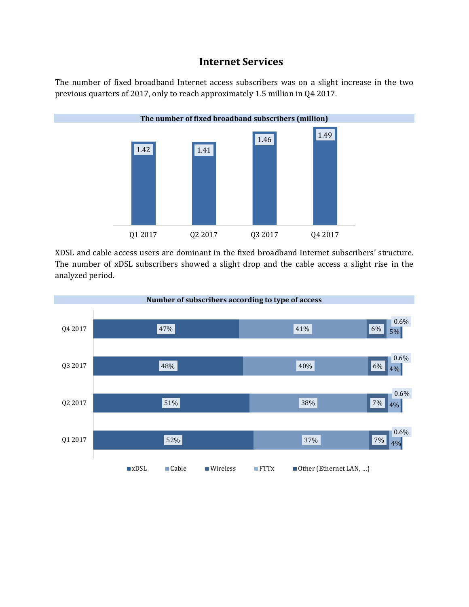#### **Internet Services**

The number of fixed broadband Internet access subscribers was on a slight increase in the two previous quarters of 2017, only to reach approximately 1.5 million in Q4 2017.



XDSL and cable access users are dominant in the fixed broadband Internet subscribers' structure. The number of xDSL subscribers showed a slight drop and the cable access a slight rise in the analyzed period.

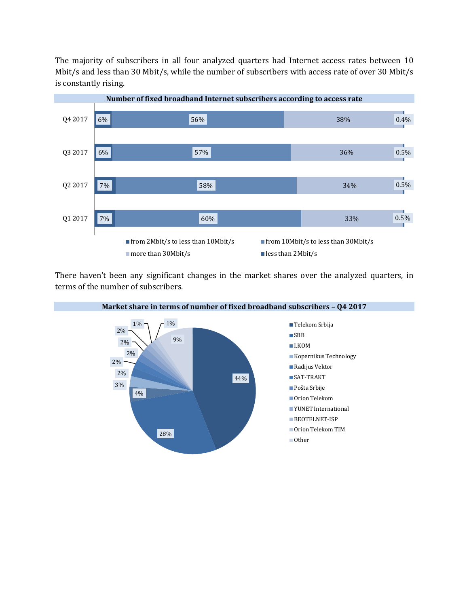The majority of subscribers in all four analyzed quarters had Internet access rates between 10 Mbit/s and less than 30 Mbit/s, while the number of subscribers with access rate of over 30 Mbit/s is constantly rising.



There haven't been any significant changes in the market shares over the analyzed quarters, in terms of the number of subscribers.

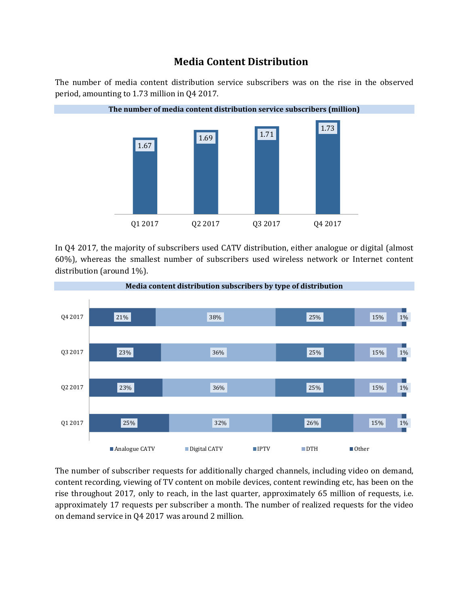## **Media Content Distribution**

The number of media content distribution service subscribers was on the rise in the observed period, amounting to 1.73 million in Q4 2017.



In Q4 2017, the majority of subscribers used CATV distribution, either analogue or digital (almost 60%), whereas the smallest number of subscribers used wireless network or Internet content distribution (around 1%).



The number of subscriber requests for additionally charged channels, including video on demand, content recording, viewing of TV content on mobile devices, content rewinding etc, has been on the rise throughout 2017, only to reach, in the last quarter, approximately 65 million of requests, i.e. approximately 17 requests per subscriber a month. The number of realized requests for the video on demand service in Q4 2017 was around 2 million.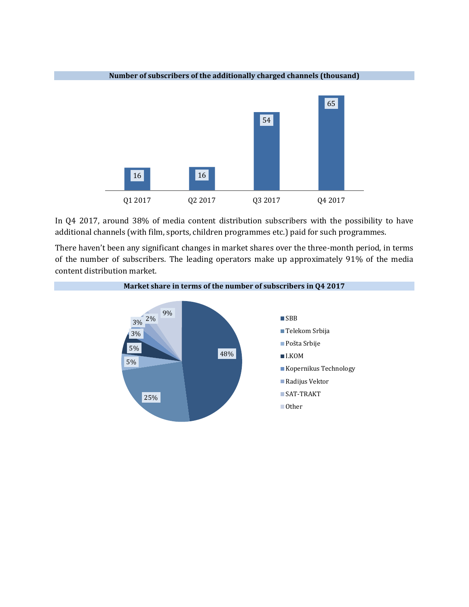

**Number of subscribers of the additionally charged channels (thousand)**

In Q4 2017, around 38% of media content distribution subscribers with the possibility to have additional channels (with film, sports, children programmes etc.) paid for such programmes.

There haven't been any significant changes in market shares over the three-month period, in terms of the number of subscribers. The leading operators make up approximately 91% of the media content distribution market.

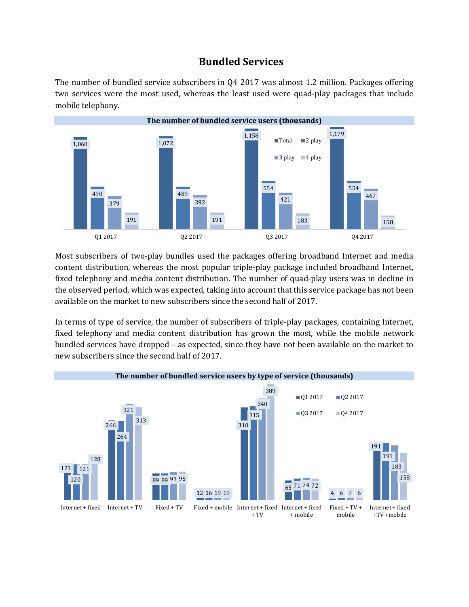### **Bundled Services**

The number of bundled service subscribers in Q4 2017 was almost 1.2 million. Packages offering two services were the most used, whereas the least used were quad-play packages that include mobile telephony.



Most subscribers of two-play bundles used the packages offering broadband Internet and media content distribution, whereas the most popular triple-play package included broadband Internet, fixed telephony and media content distribution. The number of quad-play users was in decline in the observed period, which was expected, taking into account that this service package has not been available on the market to new subscribers since the second half of 2017.

In terms of type of service, the number of subscribers of triple-play packages, containing Internet, fixed telephony and media content distribution has grown the most, while the mobile network bundled services have dropped – as expected, since they have not been available on the market to new subscribers since the second half of 2017.